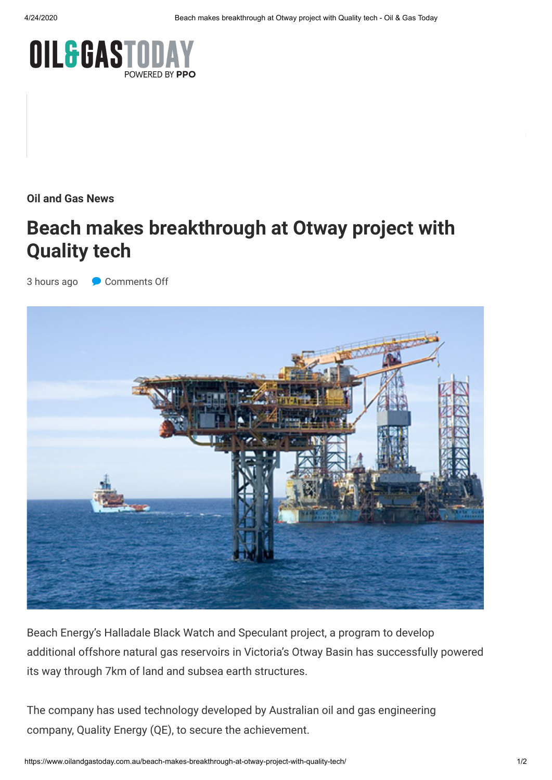

**[Oil and Gas News](https://www.oilandgastoday.com.au/category/oil-and-gas-news/)**

## **[Beach makes breakthrough at Otway project with](https://adclick.g.doubleclick.net/pcs/click%253Fxai%253DAKAOjsuHpZQZMnePxuSOhOIWs1WskzhkhpP1FqCtIkqQMBFPwJ9V10riCWO9yFZqdCRYrLwQPVz7giXwa9qD5LtIakuTrgfoPYQ8Bi5bhblakVkFUK9GAOVfX5V-6fmla7QkV0M5k-sqzHNIWn07wN4tCXXbHIxK4VvFiC_PeGhkdQUp57TxR4U8fn8ipILbbc3HCIappE5s-b6g7YkcvTszz_BYjpHNCEfPxwBmpC3U90lARVbU7LHmrBOfc88Izwvt1wHBFrxFt3WnEyeh%2526sig%253DCg0ArKJSzGz-RGujlqr-EAE%2526urlfix%253D1%2526adurl%253Dhttps://www.ppo.com.au/download-the-free-sample-pack/) Quality tech**

3 hours ago Comments Off



Beach Energy's Halladale Black Watch and Speculant project, a program to develop additional offshore natural gas reservoirs in Victoria's Otway Basin has successfully powered its way through 7km of land and subsea earth structures.

The company has used technology developed by Australian oil and gas engineering company, Quality Energy (QE), to secure the achievement.